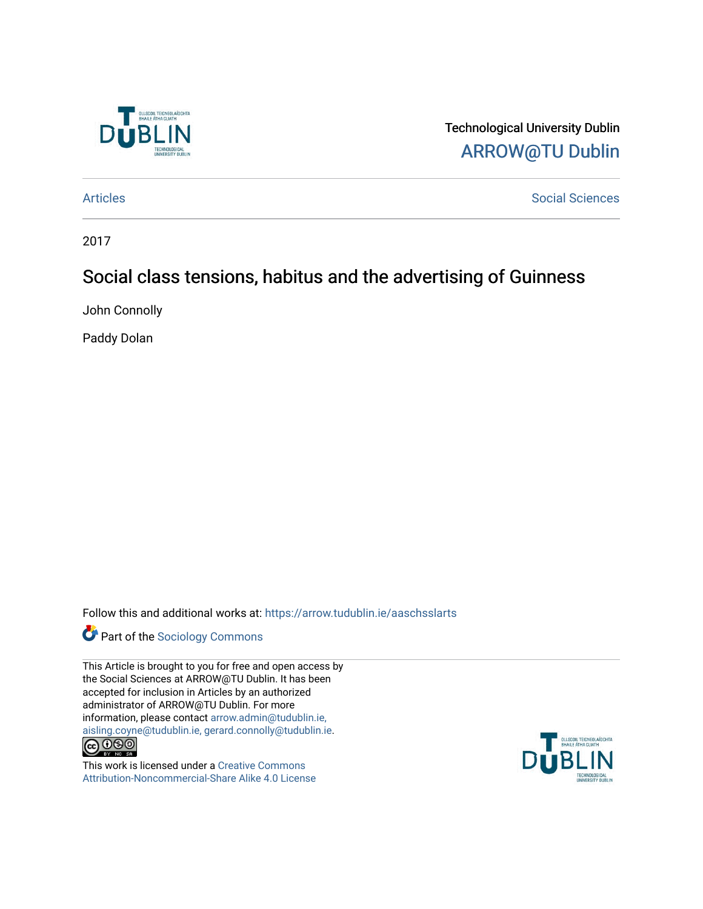

Technological University Dublin [ARROW@TU Dublin](https://arrow.tudublin.ie/) 

[Articles](https://arrow.tudublin.ie/aaschsslarts) **Social Sciences** [Social Sciences](https://arrow.tudublin.ie/aaschss) **Social Sciences** 

2017

# Social class tensions, habitus and the advertising of Guinness

John Connolly

Paddy Dolan

Follow this and additional works at: [https://arrow.tudublin.ie/aaschsslarts](https://arrow.tudublin.ie/aaschsslarts?utm_source=arrow.tudublin.ie%2Faaschsslarts%2F84&utm_medium=PDF&utm_campaign=PDFCoverPages)



This Article is brought to you for free and open access by the Social Sciences at ARROW@TU Dublin. It has been accepted for inclusion in Articles by an authorized administrator of ARROW@TU Dublin. For more information, please contact [arrow.admin@tudublin.ie,](mailto:arrow.admin@tudublin.ie,%20aisling.coyne@tudublin.ie,%20gerard.connolly@tudublin.ie)  [aisling.coyne@tudublin.ie, gerard.connolly@tudublin.ie](mailto:arrow.admin@tudublin.ie,%20aisling.coyne@tudublin.ie,%20gerard.connolly@tudublin.ie).



This work is licensed under a [Creative Commons](http://creativecommons.org/licenses/by-nc-sa/4.0/) [Attribution-Noncommercial-Share Alike 4.0 License](http://creativecommons.org/licenses/by-nc-sa/4.0/)

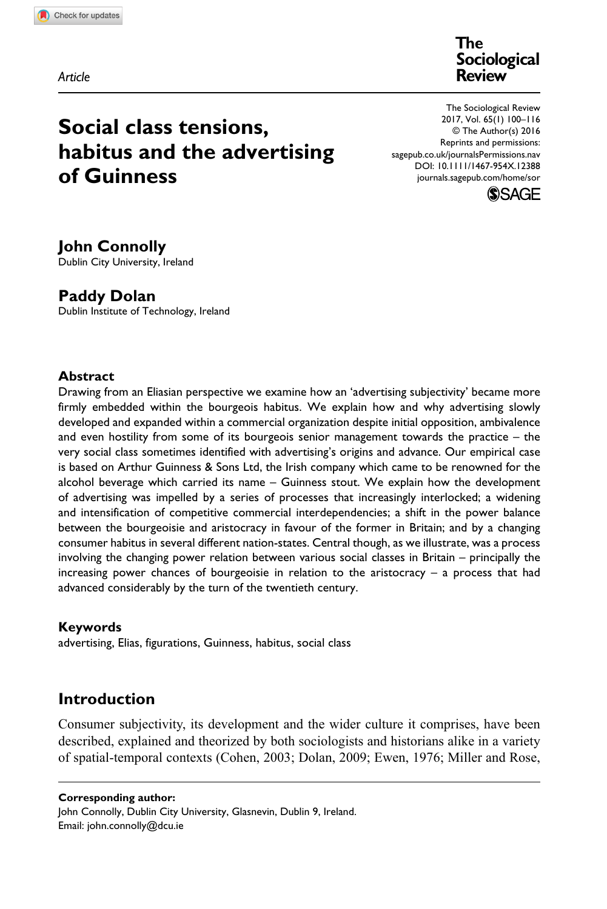**6767[64](http://crossmark.crossref.org/dialog/?doi=10.1111%2F1467-954X.12388&domain=pdf&date_stamp=2016-05-30)**SOR0010.1177/0038026116676764Sociological Review**Connolly and Dolan**

*Article*

**The Sociological Review**

# **Social class tensions, habitus and the advertising of Guinness**

The Sociological Review 2017, Vol. 65(1) 100–116 © The Author(s) 2016 Reprints and permissions: [sagepub.co.uk/journalsPermissions.nav](http://sagepub.co.uk/journalsPermissions.na) [DOI: 10.1111/1467-954X.12388](https://doi.org/10.1111/1467-954X.12388) [journals.sagepub.com/home/sor](http://journals.sagepub.com/home/sor)



# **John Connolly**

Dublin City University, Ireland

# **Paddy Dolan**

Dublin Institute of Technology, Ireland

#### **Abstract**

Drawing from an Eliasian perspective we examine how an 'advertising subjectivity' became more firmly embedded within the bourgeois habitus. We explain how and why advertising slowly developed and expanded within a commercial organization despite initial opposition, ambivalence and even hostility from some of its bourgeois senior management towards the practice – the very social class sometimes identified with advertising's origins and advance. Our empirical case is based on Arthur Guinness & Sons Ltd, the Irish company which came to be renowned for the alcohol beverage which carried its name – Guinness stout. We explain how the development of advertising was impelled by a series of processes that increasingly interlocked; a widening and intensification of competitive commercial interdependencies; a shift in the power balance between the bourgeoisie and aristocracy in favour of the former in Britain; and by a changing consumer habitus in several different nation-states. Central though, as we illustrate, was a process involving the changing power relation between various social classes in Britain – principally the increasing power chances of bourgeoisie in relation to the aristocracy – a process that had advanced considerably by the turn of the twentieth century.

#### **Keywords**

advertising, Elias, figurations, Guinness, habitus, social class

## **Introduction**

Consumer subjectivity, its development and the wider culture it comprises, have been described, explained and theorized by both sociologists and historians alike in a variety of spatial-temporal contexts (Cohen, 2003; Dolan, 2009; Ewen, 1976; Miller and Rose,

**Corresponding author:** John Connolly, Dublin City University, Glasnevin, Dublin 9, Ireland. Email: john.connolly@dcu.ie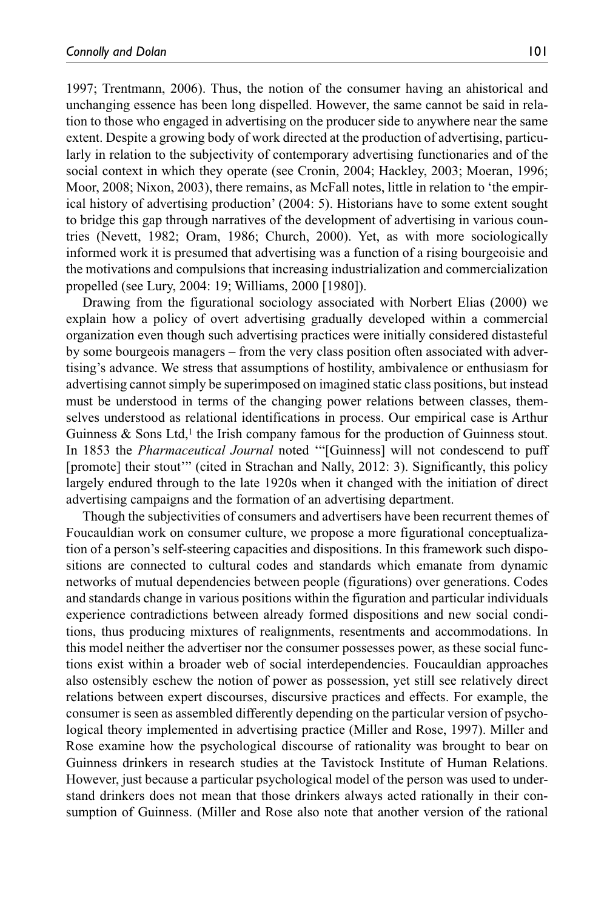1997; Trentmann, 2006). Thus, the notion of the consumer having an ahistorical and unchanging essence has been long dispelled. However, the same cannot be said in relation to those who engaged in advertising on the producer side to anywhere near the same extent. Despite a growing body of work directed at the production of advertising, particularly in relation to the subjectivity of contemporary advertising functionaries and of the social context in which they operate (see Cronin, 2004; Hackley, 2003; Moeran, 1996; Moor, 2008; Nixon, 2003), there remains, as McFall notes, little in relation to 'the empirical history of advertising production' (2004: 5). Historians have to some extent sought to bridge this gap through narratives of the development of advertising in various countries (Nevett, 1982; Oram, 1986; Church, 2000). Yet, as with more sociologically informed work it is presumed that advertising was a function of a rising bourgeoisie and the motivations and compulsions that increasing industrialization and commercialization propelled (see Lury, 2004: 19; Williams, 2000 [1980]).

Drawing from the figurational sociology associated with Norbert Elias (2000) we explain how a policy of overt advertising gradually developed within a commercial organization even though such advertising practices were initially considered distasteful by some bourgeois managers – from the very class position often associated with advertising's advance. We stress that assumptions of hostility, ambivalence or enthusiasm for advertising cannot simply be superimposed on imagined static class positions, but instead must be understood in terms of the changing power relations between classes, themselves understood as relational identifications in process. Our empirical case is Arthur Guinness  $\&$  Sons Ltd,<sup>1</sup> the Irish company famous for the production of Guinness stout. In 1853 the *Pharmaceutical Journal* noted '"[Guinness] will not condescend to puff [promote] their stout'" (cited in Strachan and Nally, 2012: 3). Significantly, this policy largely endured through to the late 1920s when it changed with the initiation of direct advertising campaigns and the formation of an advertising department.

Though the subjectivities of consumers and advertisers have been recurrent themes of Foucauldian work on consumer culture, we propose a more figurational conceptualization of a person's self-steering capacities and dispositions. In this framework such dispositions are connected to cultural codes and standards which emanate from dynamic networks of mutual dependencies between people (figurations) over generations. Codes and standards change in various positions within the figuration and particular individuals experience contradictions between already formed dispositions and new social conditions, thus producing mixtures of realignments, resentments and accommodations. In this model neither the advertiser nor the consumer possesses power, as these social functions exist within a broader web of social interdependencies. Foucauldian approaches also ostensibly eschew the notion of power as possession, yet still see relatively direct relations between expert discourses, discursive practices and effects. For example, the consumer is seen as assembled differently depending on the particular version of psychological theory implemented in advertising practice (Miller and Rose, 1997). Miller and Rose examine how the psychological discourse of rationality was brought to bear on Guinness drinkers in research studies at the Tavistock Institute of Human Relations. However, just because a particular psychological model of the person was used to understand drinkers does not mean that those drinkers always acted rationally in their consumption of Guinness. (Miller and Rose also note that another version of the rational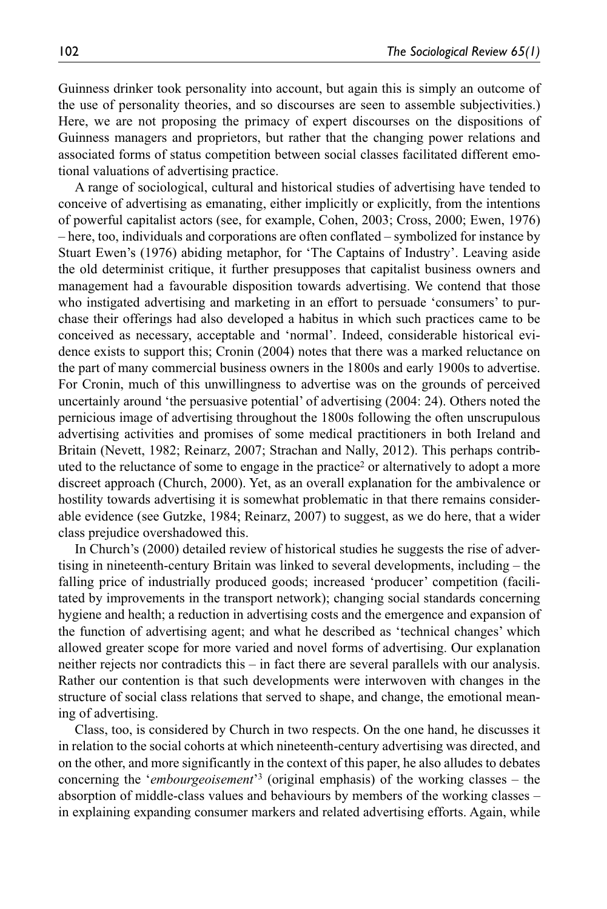Guinness drinker took personality into account, but again this is simply an outcome of the use of personality theories, and so discourses are seen to assemble subjectivities.) Here, we are not proposing the primacy of expert discourses on the dispositions of Guinness managers and proprietors, but rather that the changing power relations and associated forms of status competition between social classes facilitated different emotional valuations of advertising practice.

A range of sociological, cultural and historical studies of advertising have tended to conceive of advertising as emanating, either implicitly or explicitly, from the intentions of powerful capitalist actors (see, for example, Cohen, 2003; Cross, 2000; Ewen, 1976) – here, too, individuals and corporations are often conflated – symbolized for instance by Stuart Ewen's (1976) abiding metaphor, for 'The Captains of Industry'. Leaving aside the old determinist critique, it further presupposes that capitalist business owners and management had a favourable disposition towards advertising. We contend that those who instigated advertising and marketing in an effort to persuade 'consumers' to purchase their offerings had also developed a habitus in which such practices came to be conceived as necessary, acceptable and 'normal'. Indeed, considerable historical evidence exists to support this; Cronin (2004) notes that there was a marked reluctance on the part of many commercial business owners in the 1800s and early 1900s to advertise. For Cronin, much of this unwillingness to advertise was on the grounds of perceived uncertainly around 'the persuasive potential' of advertising (2004: 24). Others noted the pernicious image of advertising throughout the 1800s following the often unscrupulous advertising activities and promises of some medical practitioners in both Ireland and Britain (Nevett, 1982; Reinarz, 2007; Strachan and Nally, 2012). This perhaps contributed to the reluctance of some to engage in the practice2 or alternatively to adopt a more discreet approach (Church, 2000). Yet, as an overall explanation for the ambivalence or hostility towards advertising it is somewhat problematic in that there remains considerable evidence (see Gutzke, 1984; Reinarz, 2007) to suggest, as we do here, that a wider class prejudice overshadowed this.

In Church's (2000) detailed review of historical studies he suggests the rise of advertising in nineteenth-century Britain was linked to several developments, including – the falling price of industrially produced goods; increased 'producer' competition (facilitated by improvements in the transport network); changing social standards concerning hygiene and health; a reduction in advertising costs and the emergence and expansion of the function of advertising agent; and what he described as 'technical changes' which allowed greater scope for more varied and novel forms of advertising. Our explanation neither rejects nor contradicts this – in fact there are several parallels with our analysis. Rather our contention is that such developments were interwoven with changes in the structure of social class relations that served to shape, and change, the emotional meaning of advertising.

Class, too, is considered by Church in two respects. On the one hand, he discusses it in relation to the social cohorts at which nineteenth-century advertising was directed, and on the other, and more significantly in the context of this paper, he also alludes to debates concerning the '*embourgeoisement*'3 (original emphasis) of the working classes – the absorption of middle-class values and behaviours by members of the working classes – in explaining expanding consumer markers and related advertising efforts. Again, while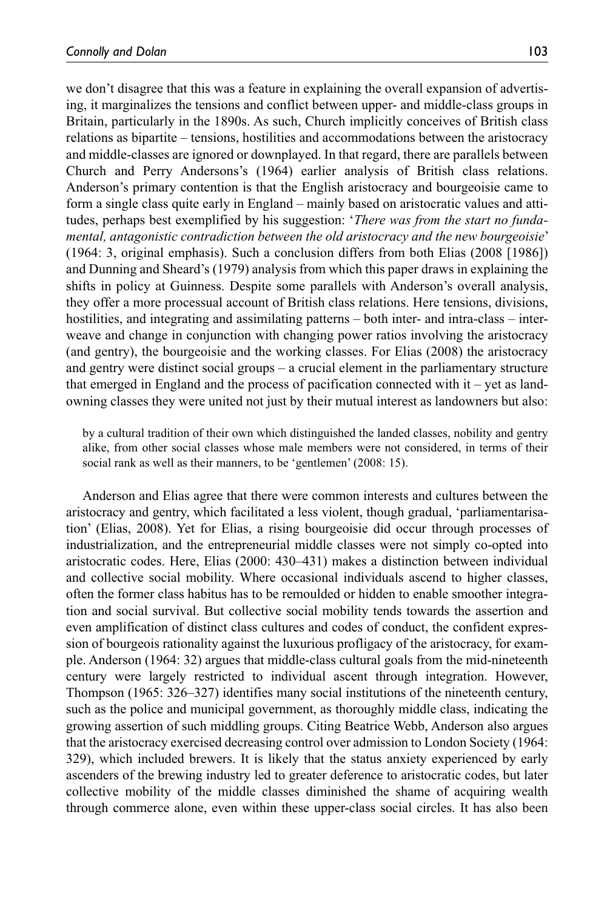we don't disagree that this was a feature in explaining the overall expansion of advertising, it marginalizes the tensions and conflict between upper- and middle-class groups in Britain, particularly in the 1890s. As such, Church implicitly conceives of British class relations as bipartite – tensions, hostilities and accommodations between the aristocracy and middle-classes are ignored or downplayed. In that regard, there are parallels between Church and Perry Andersons's (1964) earlier analysis of British class relations. Anderson's primary contention is that the English aristocracy and bourgeoisie came to form a single class quite early in England – mainly based on aristocratic values and attitudes, perhaps best exemplified by his suggestion: '*There was from the start no fundamental, antagonistic contradiction between the old aristocracy and the new bourgeoisie*' (1964: 3, original emphasis). Such a conclusion differs from both Elias (2008 [1986]) and Dunning and Sheard's (1979) analysis from which this paper draws in explaining the shifts in policy at Guinness. Despite some parallels with Anderson's overall analysis, they offer a more processual account of British class relations. Here tensions, divisions, hostilities, and integrating and assimilating patterns – both inter- and intra-class – interweave and change in conjunction with changing power ratios involving the aristocracy (and gentry), the bourgeoisie and the working classes. For Elias (2008) the aristocracy and gentry were distinct social groups – a crucial element in the parliamentary structure that emerged in England and the process of pacification connected with  $it - yet$  as landowning classes they were united not just by their mutual interest as landowners but also:

by a cultural tradition of their own which distinguished the landed classes, nobility and gentry alike, from other social classes whose male members were not considered, in terms of their social rank as well as their manners, to be 'gentlemen' (2008: 15).

Anderson and Elias agree that there were common interests and cultures between the aristocracy and gentry, which facilitated a less violent, though gradual, 'parliamentarisation' (Elias, 2008). Yet for Elias, a rising bourgeoisie did occur through processes of industrialization, and the entrepreneurial middle classes were not simply co-opted into aristocratic codes. Here, Elias (2000: 430–431) makes a distinction between individual and collective social mobility. Where occasional individuals ascend to higher classes, often the former class habitus has to be remoulded or hidden to enable smoother integration and social survival. But collective social mobility tends towards the assertion and even amplification of distinct class cultures and codes of conduct, the confident expression of bourgeois rationality against the luxurious profligacy of the aristocracy, for example. Anderson (1964: 32) argues that middle-class cultural goals from the mid-nineteenth century were largely restricted to individual ascent through integration. However, Thompson (1965: 326–327) identifies many social institutions of the nineteenth century, such as the police and municipal government, as thoroughly middle class, indicating the growing assertion of such middling groups. Citing Beatrice Webb, Anderson also argues that the aristocracy exercised decreasing control over admission to London Society (1964: 329), which included brewers. It is likely that the status anxiety experienced by early ascenders of the brewing industry led to greater deference to aristocratic codes, but later collective mobility of the middle classes diminished the shame of acquiring wealth through commerce alone, even within these upper-class social circles. It has also been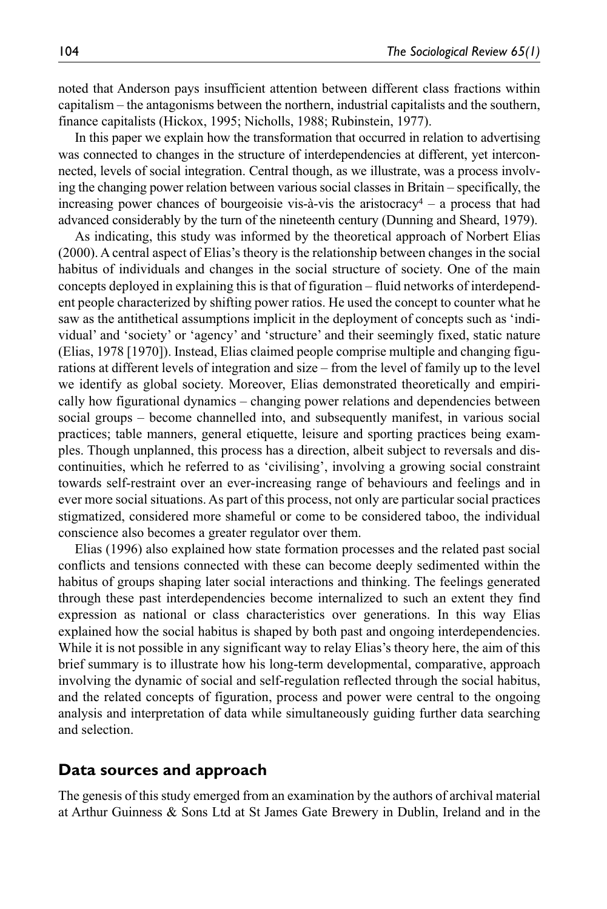noted that Anderson pays insufficient attention between different class fractions within capitalism – the antagonisms between the northern, industrial capitalists and the southern, finance capitalists (Hickox, 1995; Nicholls, 1988; Rubinstein, 1977).

In this paper we explain how the transformation that occurred in relation to advertising was connected to changes in the structure of interdependencies at different, yet interconnected, levels of social integration. Central though, as we illustrate, was a process involving the changing power relation between various social classes in Britain – specifically, the increasing power chances of bourgeoisie vis-à-vis the aristocracy<sup>4</sup> – a process that had advanced considerably by the turn of the nineteenth century (Dunning and Sheard, 1979).

As indicating, this study was informed by the theoretical approach of Norbert Elias (2000). A central aspect of Elias's theory is the relationship between changes in the social habitus of individuals and changes in the social structure of society. One of the main concepts deployed in explaining this is that of figuration – fluid networks of interdependent people characterized by shifting power ratios. He used the concept to counter what he saw as the antithetical assumptions implicit in the deployment of concepts such as 'individual' and 'society' or 'agency' and 'structure' and their seemingly fixed, static nature (Elias, 1978 [1970]). Instead, Elias claimed people comprise multiple and changing figurations at different levels of integration and size – from the level of family up to the level we identify as global society. Moreover, Elias demonstrated theoretically and empirically how figurational dynamics – changing power relations and dependencies between social groups – become channelled into, and subsequently manifest, in various social practices; table manners, general etiquette, leisure and sporting practices being examples. Though unplanned, this process has a direction, albeit subject to reversals and discontinuities, which he referred to as 'civilising', involving a growing social constraint towards self-restraint over an ever-increasing range of behaviours and feelings and in ever more social situations. As part of this process, not only are particular social practices stigmatized, considered more shameful or come to be considered taboo, the individual conscience also becomes a greater regulator over them.

Elias (1996) also explained how state formation processes and the related past social conflicts and tensions connected with these can become deeply sedimented within the habitus of groups shaping later social interactions and thinking. The feelings generated through these past interdependencies become internalized to such an extent they find expression as national or class characteristics over generations. In this way Elias explained how the social habitus is shaped by both past and ongoing interdependencies. While it is not possible in any significant way to relay Elias's theory here, the aim of this brief summary is to illustrate how his long-term developmental, comparative, approach involving the dynamic of social and self-regulation reflected through the social habitus, and the related concepts of figuration, process and power were central to the ongoing analysis and interpretation of data while simultaneously guiding further data searching and selection.

#### **Data sources and approach**

The genesis of this study emerged from an examination by the authors of archival material at Arthur Guinness & Sons Ltd at St James Gate Brewery in Dublin, Ireland and in the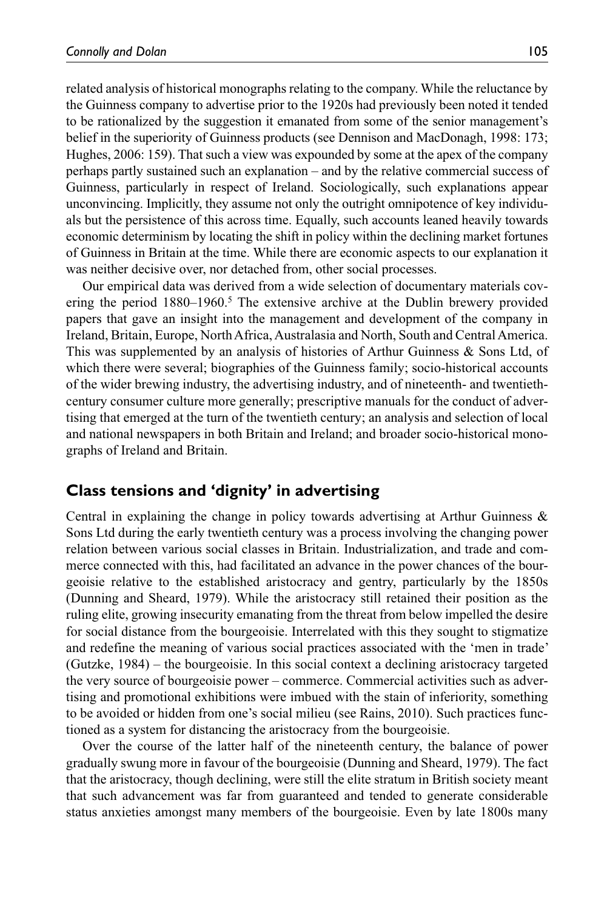related analysis of historical monographs relating to the company. While the reluctance by the Guinness company to advertise prior to the 1920s had previously been noted it tended to be rationalized by the suggestion it emanated from some of the senior management's belief in the superiority of Guinness products (see Dennison and MacDonagh, 1998: 173; Hughes, 2006: 159). That such a view was expounded by some at the apex of the company perhaps partly sustained such an explanation – and by the relative commercial success of Guinness, particularly in respect of Ireland. Sociologically, such explanations appear unconvincing. Implicitly, they assume not only the outright omnipotence of key individuals but the persistence of this across time. Equally, such accounts leaned heavily towards economic determinism by locating the shift in policy within the declining market fortunes of Guinness in Britain at the time. While there are economic aspects to our explanation it was neither decisive over, nor detached from, other social processes.

Our empirical data was derived from a wide selection of documentary materials covering the period  $1880-1960$ .<sup>5</sup> The extensive archive at the Dublin brewery provided papers that gave an insight into the management and development of the company in Ireland, Britain, Europe, North Africa, Australasia and North, South and Central America. This was supplemented by an analysis of histories of Arthur Guinness & Sons Ltd, of which there were several; biographies of the Guinness family; socio-historical accounts of the wider brewing industry, the advertising industry, and of nineteenth- and twentiethcentury consumer culture more generally; prescriptive manuals for the conduct of advertising that emerged at the turn of the twentieth century; an analysis and selection of local and national newspapers in both Britain and Ireland; and broader socio-historical monographs of Ireland and Britain.

## **Class tensions and 'dignity' in advertising**

Central in explaining the change in policy towards advertising at Arthur Guinness & Sons Ltd during the early twentieth century was a process involving the changing power relation between various social classes in Britain. Industrialization, and trade and commerce connected with this, had facilitated an advance in the power chances of the bourgeoisie relative to the established aristocracy and gentry, particularly by the 1850s (Dunning and Sheard, 1979). While the aristocracy still retained their position as the ruling elite, growing insecurity emanating from the threat from below impelled the desire for social distance from the bourgeoisie. Interrelated with this they sought to stigmatize and redefine the meaning of various social practices associated with the 'men in trade' (Gutzke, 1984) – the bourgeoisie. In this social context a declining aristocracy targeted the very source of bourgeoisie power – commerce. Commercial activities such as advertising and promotional exhibitions were imbued with the stain of inferiority, something to be avoided or hidden from one's social milieu (see Rains, 2010). Such practices functioned as a system for distancing the aristocracy from the bourgeoisie.

Over the course of the latter half of the nineteenth century, the balance of power gradually swung more in favour of the bourgeoisie (Dunning and Sheard, 1979). The fact that the aristocracy, though declining, were still the elite stratum in British society meant that such advancement was far from guaranteed and tended to generate considerable status anxieties amongst many members of the bourgeoisie. Even by late 1800s many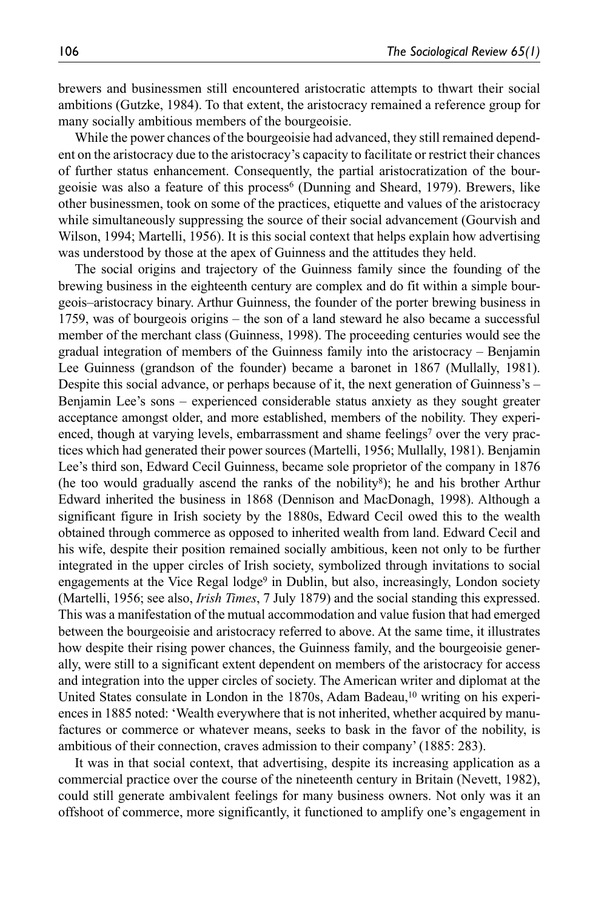brewers and businessmen still encountered aristocratic attempts to thwart their social ambitions (Gutzke, 1984). To that extent, the aristocracy remained a reference group for many socially ambitious members of the bourgeoisie.

While the power chances of the bourgeoisie had advanced, they still remained dependent on the aristocracy due to the aristocracy's capacity to facilitate or restrict their chances of further status enhancement. Consequently, the partial aristocratization of the bourgeoisie was also a feature of this process<sup>6</sup> (Dunning and Sheard, 1979). Brewers, like other businessmen, took on some of the practices, etiquette and values of the aristocracy while simultaneously suppressing the source of their social advancement (Gourvish and Wilson, 1994; Martelli, 1956). It is this social context that helps explain how advertising was understood by those at the apex of Guinness and the attitudes they held.

The social origins and trajectory of the Guinness family since the founding of the brewing business in the eighteenth century are complex and do fit within a simple bourgeois–aristocracy binary. Arthur Guinness, the founder of the porter brewing business in 1759, was of bourgeois origins – the son of a land steward he also became a successful member of the merchant class (Guinness, 1998). The proceeding centuries would see the gradual integration of members of the Guinness family into the aristocracy – Benjamin Lee Guinness (grandson of the founder) became a baronet in 1867 (Mullally, 1981). Despite this social advance, or perhaps because of it, the next generation of Guinness's – Benjamin Lee's sons – experienced considerable status anxiety as they sought greater acceptance amongst older, and more established, members of the nobility. They experienced, though at varying levels, embarrassment and shame feelings<sup>7</sup> over the very practices which had generated their power sources (Martelli, 1956; Mullally, 1981). Benjamin Lee's third son, Edward Cecil Guinness, became sole proprietor of the company in 1876 (he too would gradually ascend the ranks of the nobility8); he and his brother Arthur Edward inherited the business in 1868 (Dennison and MacDonagh, 1998). Although a significant figure in Irish society by the 1880s, Edward Cecil owed this to the wealth obtained through commerce as opposed to inherited wealth from land. Edward Cecil and his wife, despite their position remained socially ambitious, keen not only to be further integrated in the upper circles of Irish society, symbolized through invitations to social engagements at the Vice Regal lodge<sup>9</sup> in Dublin, but also, increasingly, London society (Martelli, 1956; see also, *Irish Times*, 7 July 1879) and the social standing this expressed. This was a manifestation of the mutual accommodation and value fusion that had emerged between the bourgeoisie and aristocracy referred to above. At the same time, it illustrates how despite their rising power chances, the Guinness family, and the bourgeoisie generally, were still to a significant extent dependent on members of the aristocracy for access and integration into the upper circles of society. The American writer and diplomat at the United States consulate in London in the  $1870s$ , Adam Badeau,<sup>10</sup> writing on his experiences in 1885 noted: 'Wealth everywhere that is not inherited, whether acquired by manufactures or commerce or whatever means, seeks to bask in the favor of the nobility, is ambitious of their connection, craves admission to their company' (1885: 283).

It was in that social context, that advertising, despite its increasing application as a commercial practice over the course of the nineteenth century in Britain (Nevett, 1982), could still generate ambivalent feelings for many business owners. Not only was it an offshoot of commerce, more significantly, it functioned to amplify one's engagement in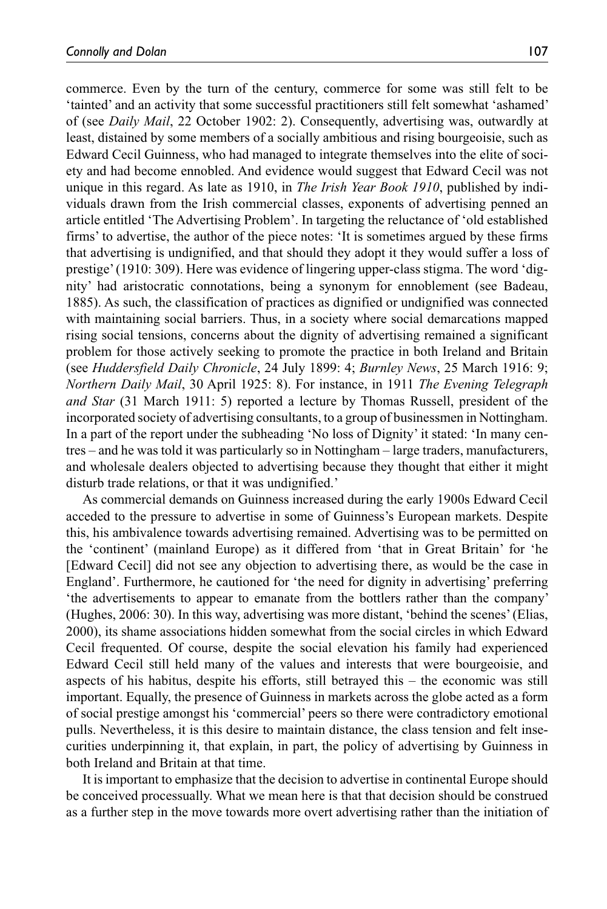commerce. Even by the turn of the century, commerce for some was still felt to be 'tainted' and an activity that some successful practitioners still felt somewhat 'ashamed' of (see *Daily Mail*, 22 October 1902: 2). Consequently, advertising was, outwardly at least, distained by some members of a socially ambitious and rising bourgeoisie, such as Edward Cecil Guinness, who had managed to integrate themselves into the elite of society and had become ennobled. And evidence would suggest that Edward Cecil was not unique in this regard. As late as 1910, in *The Irish Year Book 1910*, published by individuals drawn from the Irish commercial classes, exponents of advertising penned an article entitled 'The Advertising Problem'. In targeting the reluctance of 'old established firms' to advertise, the author of the piece notes: 'It is sometimes argued by these firms that advertising is undignified, and that should they adopt it they would suffer a loss of prestige' (1910: 309). Here was evidence of lingering upper-class stigma. The word 'dignity' had aristocratic connotations, being a synonym for ennoblement (see Badeau, 1885). As such, the classification of practices as dignified or undignified was connected with maintaining social barriers. Thus, in a society where social demarcations mapped rising social tensions, concerns about the dignity of advertising remained a significant problem for those actively seeking to promote the practice in both Ireland and Britain (see *Huddersfield Daily Chronicle*, 24 July 1899: 4; *Burnley News*, 25 March 1916: 9; *Northern Daily Mail*, 30 April 1925: 8). For instance, in 1911 *The Evening Telegraph and Star* (31 March 1911: 5) reported a lecture by Thomas Russell, president of the incorporated society of advertising consultants, to a group of businessmen in Nottingham. In a part of the report under the subheading 'No loss of Dignity' it stated: 'In many centres – and he was told it was particularly so in Nottingham – large traders, manufacturers, and wholesale dealers objected to advertising because they thought that either it might disturb trade relations, or that it was undignified.'

As commercial demands on Guinness increased during the early 1900s Edward Cecil acceded to the pressure to advertise in some of Guinness's European markets. Despite this, his ambivalence towards advertising remained. Advertising was to be permitted on the 'continent' (mainland Europe) as it differed from 'that in Great Britain' for 'he [Edward Cecil] did not see any objection to advertising there, as would be the case in England'. Furthermore, he cautioned for 'the need for dignity in advertising' preferring 'the advertisements to appear to emanate from the bottlers rather than the company' (Hughes, 2006: 30). In this way, advertising was more distant, 'behind the scenes' (Elias, 2000), its shame associations hidden somewhat from the social circles in which Edward Cecil frequented. Of course, despite the social elevation his family had experienced Edward Cecil still held many of the values and interests that were bourgeoisie, and aspects of his habitus, despite his efforts, still betrayed this – the economic was still important. Equally, the presence of Guinness in markets across the globe acted as a form of social prestige amongst his 'commercial' peers so there were contradictory emotional pulls. Nevertheless, it is this desire to maintain distance, the class tension and felt insecurities underpinning it, that explain, in part, the policy of advertising by Guinness in both Ireland and Britain at that time.

It is important to emphasize that the decision to advertise in continental Europe should be conceived processually. What we mean here is that that decision should be construed as a further step in the move towards more overt advertising rather than the initiation of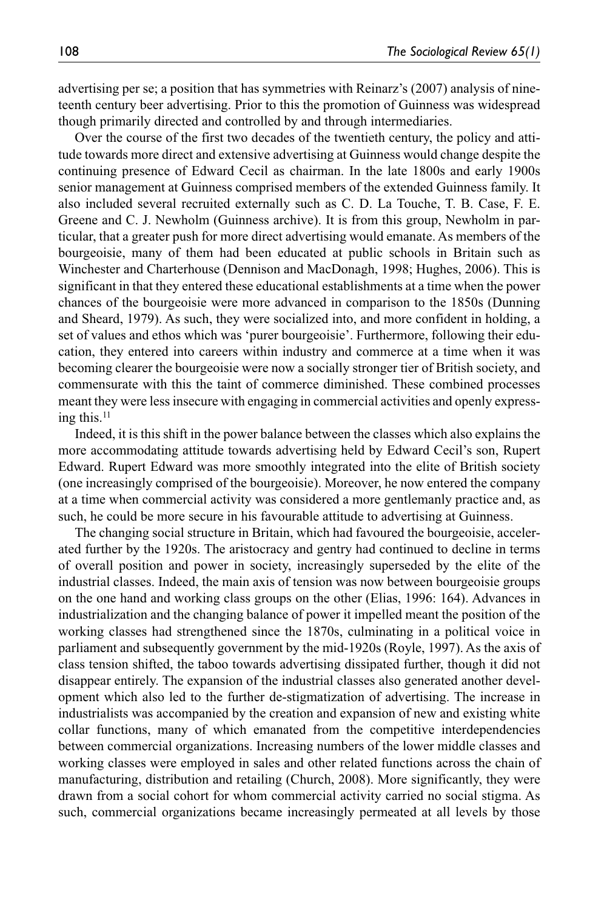advertising per se; a position that has symmetries with Reinarz's (2007) analysis of nineteenth century beer advertising. Prior to this the promotion of Guinness was widespread though primarily directed and controlled by and through intermediaries.

Over the course of the first two decades of the twentieth century, the policy and attitude towards more direct and extensive advertising at Guinness would change despite the continuing presence of Edward Cecil as chairman. In the late 1800s and early 1900s senior management at Guinness comprised members of the extended Guinness family. It also included several recruited externally such as C. D. La Touche, T. B. Case, F. E. Greene and C. J. Newholm (Guinness archive). It is from this group, Newholm in particular, that a greater push for more direct advertising would emanate. As members of the bourgeoisie, many of them had been educated at public schools in Britain such as Winchester and Charterhouse (Dennison and MacDonagh, 1998; Hughes, 2006). This is significant in that they entered these educational establishments at a time when the power chances of the bourgeoisie were more advanced in comparison to the 1850s (Dunning and Sheard, 1979). As such, they were socialized into, and more confident in holding, a set of values and ethos which was 'purer bourgeoisie'. Furthermore, following their education, they entered into careers within industry and commerce at a time when it was becoming clearer the bourgeoisie were now a socially stronger tier of British society, and commensurate with this the taint of commerce diminished. These combined processes meant they were less insecure with engaging in commercial activities and openly expressing this.11

Indeed, it is this shift in the power balance between the classes which also explains the more accommodating attitude towards advertising held by Edward Cecil's son, Rupert Edward. Rupert Edward was more smoothly integrated into the elite of British society (one increasingly comprised of the bourgeoisie). Moreover, he now entered the company at a time when commercial activity was considered a more gentlemanly practice and, as such, he could be more secure in his favourable attitude to advertising at Guinness.

The changing social structure in Britain, which had favoured the bourgeoisie, accelerated further by the 1920s. The aristocracy and gentry had continued to decline in terms of overall position and power in society, increasingly superseded by the elite of the industrial classes. Indeed, the main axis of tension was now between bourgeoisie groups on the one hand and working class groups on the other (Elias, 1996: 164). Advances in industrialization and the changing balance of power it impelled meant the position of the working classes had strengthened since the 1870s, culminating in a political voice in parliament and subsequently government by the mid-1920s (Royle, 1997). As the axis of class tension shifted, the taboo towards advertising dissipated further, though it did not disappear entirely. The expansion of the industrial classes also generated another development which also led to the further de-stigmatization of advertising. The increase in industrialists was accompanied by the creation and expansion of new and existing white collar functions, many of which emanated from the competitive interdependencies between commercial organizations. Increasing numbers of the lower middle classes and working classes were employed in sales and other related functions across the chain of manufacturing, distribution and retailing (Church, 2008). More significantly, they were drawn from a social cohort for whom commercial activity carried no social stigma. As such, commercial organizations became increasingly permeated at all levels by those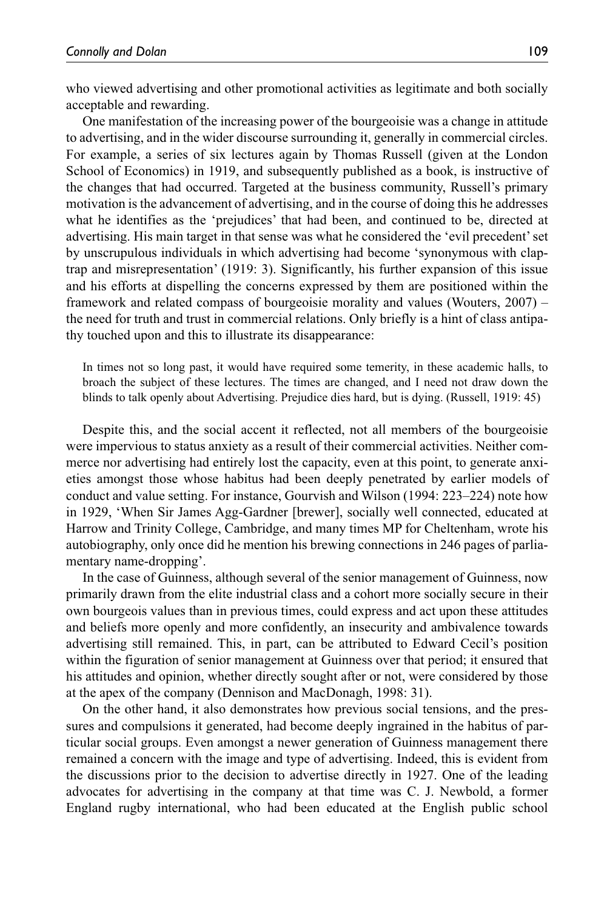who viewed advertising and other promotional activities as legitimate and both socially acceptable and rewarding.

One manifestation of the increasing power of the bourgeoisie was a change in attitude to advertising, and in the wider discourse surrounding it, generally in commercial circles. For example, a series of six lectures again by Thomas Russell (given at the London School of Economics) in 1919, and subsequently published as a book, is instructive of the changes that had occurred. Targeted at the business community, Russell's primary motivation is the advancement of advertising, and in the course of doing this he addresses what he identifies as the 'prejudices' that had been, and continued to be, directed at advertising. His main target in that sense was what he considered the 'evil precedent' set by unscrupulous individuals in which advertising had become 'synonymous with claptrap and misrepresentation' (1919: 3). Significantly, his further expansion of this issue and his efforts at dispelling the concerns expressed by them are positioned within the framework and related compass of bourgeoisie morality and values (Wouters, 2007) – the need for truth and trust in commercial relations. Only briefly is a hint of class antipathy touched upon and this to illustrate its disappearance:

In times not so long past, it would have required some temerity, in these academic halls, to broach the subject of these lectures. The times are changed, and I need not draw down the blinds to talk openly about Advertising. Prejudice dies hard, but is dying. (Russell, 1919: 45)

Despite this, and the social accent it reflected, not all members of the bourgeoisie were impervious to status anxiety as a result of their commercial activities. Neither commerce nor advertising had entirely lost the capacity, even at this point, to generate anxieties amongst those whose habitus had been deeply penetrated by earlier models of conduct and value setting. For instance, Gourvish and Wilson (1994: 223–224) note how in 1929, 'When Sir James Agg-Gardner [brewer], socially well connected, educated at Harrow and Trinity College, Cambridge, and many times MP for Cheltenham, wrote his autobiography, only once did he mention his brewing connections in 246 pages of parliamentary name-dropping'.

In the case of Guinness, although several of the senior management of Guinness, now primarily drawn from the elite industrial class and a cohort more socially secure in their own bourgeois values than in previous times, could express and act upon these attitudes and beliefs more openly and more confidently, an insecurity and ambivalence towards advertising still remained. This, in part, can be attributed to Edward Cecil's position within the figuration of senior management at Guinness over that period; it ensured that his attitudes and opinion, whether directly sought after or not, were considered by those at the apex of the company (Dennison and MacDonagh, 1998: 31).

On the other hand, it also demonstrates how previous social tensions, and the pressures and compulsions it generated, had become deeply ingrained in the habitus of particular social groups. Even amongst a newer generation of Guinness management there remained a concern with the image and type of advertising. Indeed, this is evident from the discussions prior to the decision to advertise directly in 1927. One of the leading advocates for advertising in the company at that time was C. J. Newbold, a former England rugby international, who had been educated at the English public school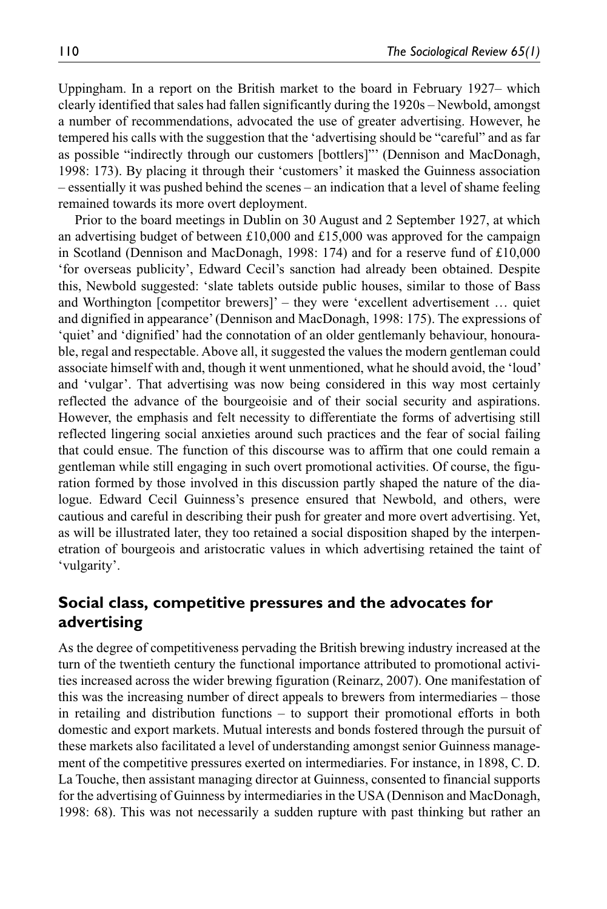Uppingham. In a report on the British market to the board in February 1927– which clearly identified that sales had fallen significantly during the 1920s – Newbold, amongst a number of recommendations, advocated the use of greater advertising. However, he tempered his calls with the suggestion that the 'advertising should be "careful" and as far as possible "indirectly through our customers [bottlers]"' (Dennison and MacDonagh, 1998: 173). By placing it through their 'customers' it masked the Guinness association – essentially it was pushed behind the scenes – an indication that a level of shame feeling remained towards its more overt deployment.

Prior to the board meetings in Dublin on 30 August and 2 September 1927, at which an advertising budget of between £10,000 and £15,000 was approved for the campaign in Scotland (Dennison and MacDonagh, 1998: 174) and for a reserve fund of  $£10,000$ 'for overseas publicity', Edward Cecil's sanction had already been obtained. Despite this, Newbold suggested: 'slate tablets outside public houses, similar to those of Bass and Worthington [competitor brewers]' – they were 'excellent advertisement … quiet and dignified in appearance' (Dennison and MacDonagh, 1998: 175). The expressions of 'quiet' and 'dignified' had the connotation of an older gentlemanly behaviour, honourable, regal and respectable. Above all, it suggested the values the modern gentleman could associate himself with and, though it went unmentioned, what he should avoid, the 'loud' and 'vulgar'. That advertising was now being considered in this way most certainly reflected the advance of the bourgeoisie and of their social security and aspirations. However, the emphasis and felt necessity to differentiate the forms of advertising still reflected lingering social anxieties around such practices and the fear of social failing that could ensue. The function of this discourse was to affirm that one could remain a gentleman while still engaging in such overt promotional activities. Of course, the figuration formed by those involved in this discussion partly shaped the nature of the dialogue. Edward Cecil Guinness's presence ensured that Newbold, and others, were cautious and careful in describing their push for greater and more overt advertising. Yet, as will be illustrated later, they too retained a social disposition shaped by the interpenetration of bourgeois and aristocratic values in which advertising retained the taint of 'vulgarity'.

# **Social class, competitive pressures and the advocates for advertising**

As the degree of competitiveness pervading the British brewing industry increased at the turn of the twentieth century the functional importance attributed to promotional activities increased across the wider brewing figuration (Reinarz, 2007). One manifestation of this was the increasing number of direct appeals to brewers from intermediaries – those in retailing and distribution functions – to support their promotional efforts in both domestic and export markets. Mutual interests and bonds fostered through the pursuit of these markets also facilitated a level of understanding amongst senior Guinness management of the competitive pressures exerted on intermediaries. For instance, in 1898, C. D. La Touche, then assistant managing director at Guinness, consented to financial supports for the advertising of Guinness by intermediaries in the USA (Dennison and MacDonagh, 1998: 68). This was not necessarily a sudden rupture with past thinking but rather an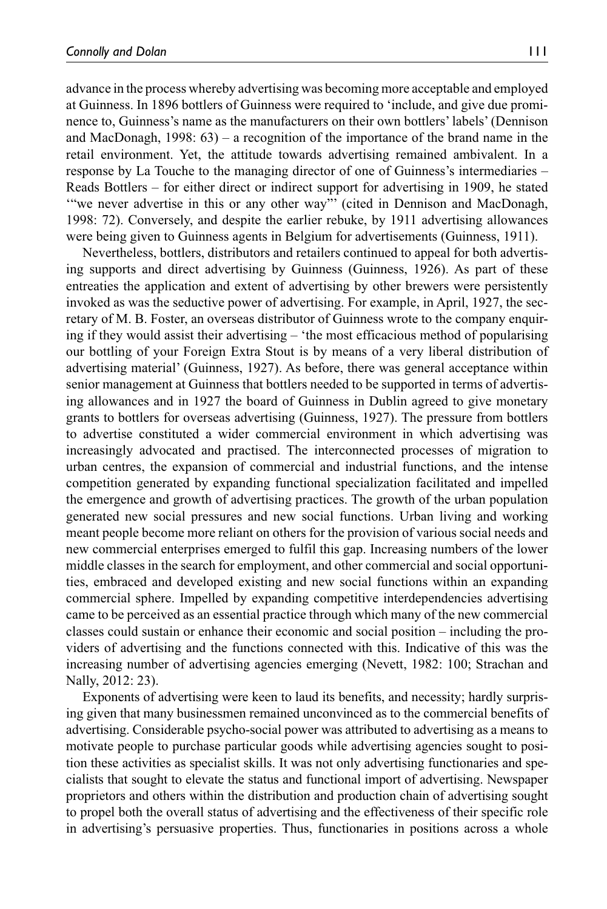advance in the process whereby advertising was becoming more acceptable and employed at Guinness. In 1896 bottlers of Guinness were required to 'include, and give due prominence to, Guinness's name as the manufacturers on their own bottlers' labels' (Dennison and MacDonagh, 1998: 63) – a recognition of the importance of the brand name in the retail environment. Yet, the attitude towards advertising remained ambivalent. In a response by La Touche to the managing director of one of Guinness's intermediaries – Reads Bottlers – for either direct or indirect support for advertising in 1909, he stated '"we never advertise in this or any other way"' (cited in Dennison and MacDonagh, 1998: 72). Conversely, and despite the earlier rebuke, by 1911 advertising allowances were being given to Guinness agents in Belgium for advertisements (Guinness, 1911).

Nevertheless, bottlers, distributors and retailers continued to appeal for both advertising supports and direct advertising by Guinness (Guinness, 1926). As part of these entreaties the application and extent of advertising by other brewers were persistently invoked as was the seductive power of advertising. For example, in April, 1927, the secretary of M. B. Foster, an overseas distributor of Guinness wrote to the company enquiring if they would assist their advertising – 'the most efficacious method of popularising our bottling of your Foreign Extra Stout is by means of a very liberal distribution of advertising material' (Guinness, 1927). As before, there was general acceptance within senior management at Guinness that bottlers needed to be supported in terms of advertising allowances and in 1927 the board of Guinness in Dublin agreed to give monetary grants to bottlers for overseas advertising (Guinness, 1927). The pressure from bottlers to advertise constituted a wider commercial environment in which advertising was increasingly advocated and practised. The interconnected processes of migration to urban centres, the expansion of commercial and industrial functions, and the intense competition generated by expanding functional specialization facilitated and impelled the emergence and growth of advertising practices. The growth of the urban population generated new social pressures and new social functions. Urban living and working meant people become more reliant on others for the provision of various social needs and new commercial enterprises emerged to fulfil this gap. Increasing numbers of the lower middle classes in the search for employment, and other commercial and social opportunities, embraced and developed existing and new social functions within an expanding commercial sphere. Impelled by expanding competitive interdependencies advertising came to be perceived as an essential practice through which many of the new commercial classes could sustain or enhance their economic and social position – including the providers of advertising and the functions connected with this. Indicative of this was the increasing number of advertising agencies emerging (Nevett, 1982: 100; Strachan and Nally, 2012: 23).

Exponents of advertising were keen to laud its benefits, and necessity; hardly surprising given that many businessmen remained unconvinced as to the commercial benefits of advertising. Considerable psycho-social power was attributed to advertising as a means to motivate people to purchase particular goods while advertising agencies sought to position these activities as specialist skills. It was not only advertising functionaries and specialists that sought to elevate the status and functional import of advertising. Newspaper proprietors and others within the distribution and production chain of advertising sought to propel both the overall status of advertising and the effectiveness of their specific role in advertising's persuasive properties. Thus, functionaries in positions across a whole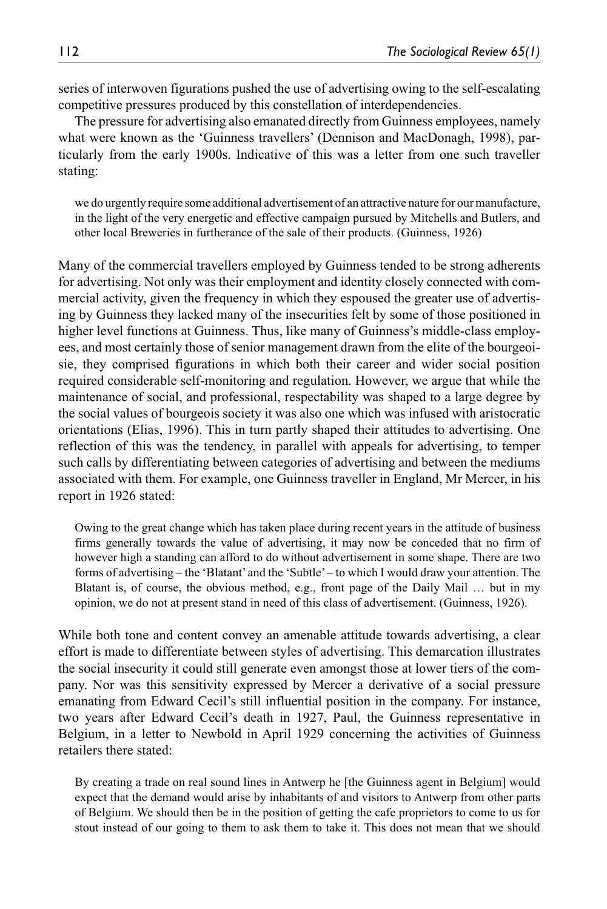series of interwoven figurations pushed the use of advertising owing to the self-escalating competitive pressures produced by this constellation of interdependencies.

The pressure for advertising also emanated directly from Guinness employees, namely what were known as the 'Guinness travellers' (Dennison and MacDonagh, 1998), particularly from the early 1900s. Indicative of this was a letter from one such traveller stating:

we do urgently require some additional advertisement of an attractive nature for our manufacture, in the light of the very energetic and effective campaign pursued by Mitchells and Butlers, and other local Breweries in furtherance of the sale of their products. (Guinness, 1926)

Many of the commercial travellers employed by Guinness tended to be strong adherents for advertising. Not only was their employment and identity closely connected with commercial activity, given the frequency in which they espoused the greater use of advertising by Guinness they lacked many of the insecurities felt by some of those positioned in higher level functions at Guinness. Thus, like many of Guinness's middle-class employees, and most certainly those of senior management drawn from the elite of the bourgeoisie, they comprised figurations in which both their career and wider social position required considerable self-monitoring and regulation. However, we argue that while the maintenance of social, and professional, respectability was shaped to a large degree by the social values of bourgeois society it was also one which was infused with aristocratic orientations (Elias, 1996). This in turn partly shaped their attitudes to advertising. One reflection of this was the tendency, in parallel with appeals for advertising, to temper such calls by differentiating between categories of advertising and between the mediums associated with them. For example, one Guinness traveller in England, Mr Mercer, in his report in 1926 stated:

Owing to the great change which has taken place during recent years in the attitude of business firms generally towards the value of advertising, it may now be conceded that no firm of however high a standing can afford to do without advertisement in some shape. There are two forms of advertising – the 'Blatant' and the 'Subtle' – to which I would draw your attention. The Blatant is, of course, the obvious method, e.g., front page of the Daily Mail … but in my opinion, we do not at present stand in need of this class of advertisement. (Guinness, 1926).

While both tone and content convey an amenable attitude towards advertising, a clear effort is made to differentiate between styles of advertising. This demarcation illustrates the social insecurity it could still generate even amongst those at lower tiers of the company. Nor was this sensitivity expressed by Mercer a derivative of a social pressure emanating from Edward Cecil's still influential position in the company. For instance, two years after Edward Cecil's death in 1927, Paul, the Guinness representative in Belgium, in a letter to Newbold in April 1929 concerning the activities of Guinness retailers there stated:

By creating a trade on real sound lines in Antwerp he [the Guinness agent in Belgium] would expect that the demand would arise by inhabitants of and visitors to Antwerp from other parts of Belgium. We should then be in the position of getting the cafe proprietors to come to us for stout instead of our going to them to ask them to take it. This does not mean that we should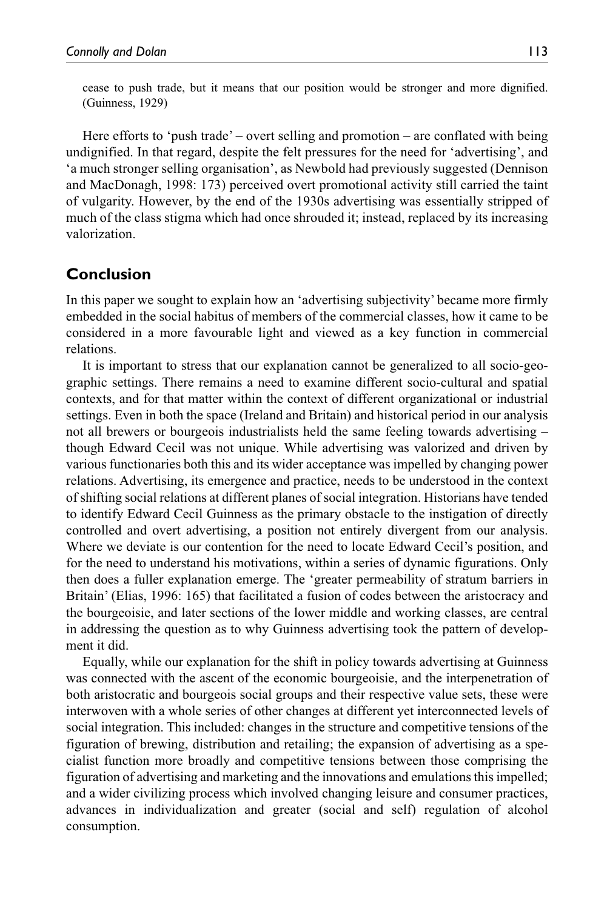cease to push trade, but it means that our position would be stronger and more dignified. (Guinness, 1929)

Here efforts to 'push trade' – overt selling and promotion – are conflated with being undignified. In that regard, despite the felt pressures for the need for 'advertising', and 'a much stronger selling organisation', as Newbold had previously suggested (Dennison and MacDonagh, 1998: 173) perceived overt promotional activity still carried the taint of vulgarity. However, by the end of the 1930s advertising was essentially stripped of much of the class stigma which had once shrouded it; instead, replaced by its increasing valorization.

## **Conclusion**

In this paper we sought to explain how an 'advertising subjectivity' became more firmly embedded in the social habitus of members of the commercial classes, how it came to be considered in a more favourable light and viewed as a key function in commercial relations.

It is important to stress that our explanation cannot be generalized to all socio-geographic settings. There remains a need to examine different socio-cultural and spatial contexts, and for that matter within the context of different organizational or industrial settings. Even in both the space (Ireland and Britain) and historical period in our analysis not all brewers or bourgeois industrialists held the same feeling towards advertising – though Edward Cecil was not unique. While advertising was valorized and driven by various functionaries both this and its wider acceptance was impelled by changing power relations. Advertising, its emergence and practice, needs to be understood in the context of shifting social relations at different planes of social integration. Historians have tended to identify Edward Cecil Guinness as the primary obstacle to the instigation of directly controlled and overt advertising, a position not entirely divergent from our analysis. Where we deviate is our contention for the need to locate Edward Cecil's position, and for the need to understand his motivations, within a series of dynamic figurations. Only then does a fuller explanation emerge. The 'greater permeability of stratum barriers in Britain' (Elias, 1996: 165) that facilitated a fusion of codes between the aristocracy and the bourgeoisie, and later sections of the lower middle and working classes, are central in addressing the question as to why Guinness advertising took the pattern of development it did.

Equally, while our explanation for the shift in policy towards advertising at Guinness was connected with the ascent of the economic bourgeoisie, and the interpenetration of both aristocratic and bourgeois social groups and their respective value sets, these were interwoven with a whole series of other changes at different yet interconnected levels of social integration. This included: changes in the structure and competitive tensions of the figuration of brewing, distribution and retailing; the expansion of advertising as a specialist function more broadly and competitive tensions between those comprising the figuration of advertising and marketing and the innovations and emulations this impelled; and a wider civilizing process which involved changing leisure and consumer practices, advances in individualization and greater (social and self) regulation of alcohol consumption.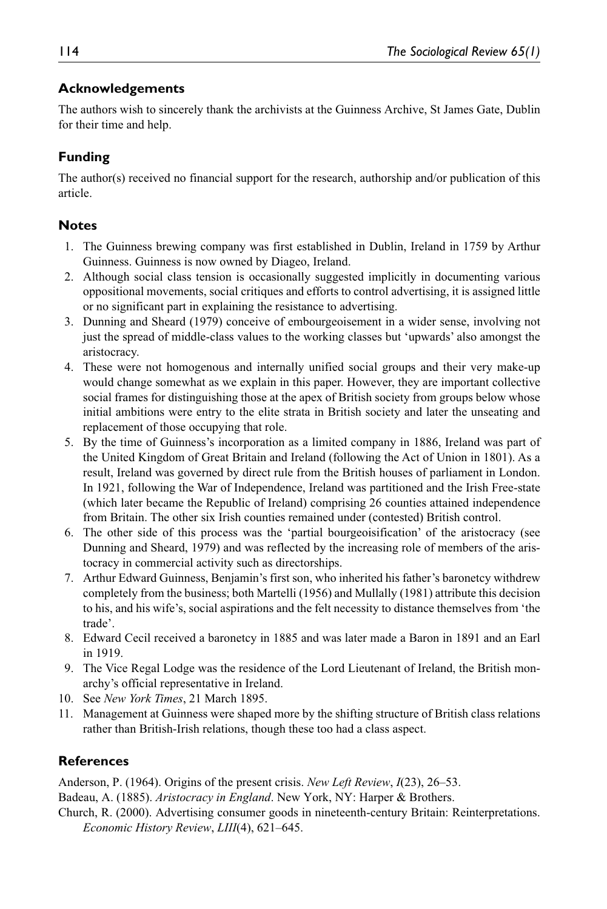#### **Acknowledgements**

The authors wish to sincerely thank the archivists at the Guinness Archive, St James Gate, Dublin for their time and help.

## **Funding**

The author(s) received no financial support for the research, authorship and/or publication of this article.

#### **Notes**

- 1. The Guinness brewing company was first established in Dublin, Ireland in 1759 by Arthur Guinness. Guinness is now owned by Diageo, Ireland.
- 2. Although social class tension is occasionally suggested implicitly in documenting various oppositional movements, social critiques and efforts to control advertising, it is assigned little or no significant part in explaining the resistance to advertising.
- 3. Dunning and Sheard (1979) conceive of embourgeoisement in a wider sense, involving not just the spread of middle-class values to the working classes but 'upwards' also amongst the aristocracy.
- 4. These were not homogenous and internally unified social groups and their very make-up would change somewhat as we explain in this paper. However, they are important collective social frames for distinguishing those at the apex of British society from groups below whose initial ambitions were entry to the elite strata in British society and later the unseating and replacement of those occupying that role.
- 5. By the time of Guinness's incorporation as a limited company in 1886, Ireland was part of the United Kingdom of Great Britain and Ireland (following the Act of Union in 1801). As a result, Ireland was governed by direct rule from the British houses of parliament in London. In 1921, following the War of Independence, Ireland was partitioned and the Irish Free-state (which later became the Republic of Ireland) comprising 26 counties attained independence from Britain. The other six Irish counties remained under (contested) British control.
- 6. The other side of this process was the 'partial bourgeoisification' of the aristocracy (see Dunning and Sheard, 1979) and was reflected by the increasing role of members of the aristocracy in commercial activity such as directorships.
- 7. Arthur Edward Guinness, Benjamin's first son, who inherited his father's baronetcy withdrew completely from the business; both Martelli (1956) and Mullally (1981) attribute this decision to his, and his wife's, social aspirations and the felt necessity to distance themselves from 'the trade'.
- 8. Edward Cecil received a baronetcy in 1885 and was later made a Baron in 1891 and an Earl in 1919.
- 9. The Vice Regal Lodge was the residence of the Lord Lieutenant of Ireland, the British monarchy's official representative in Ireland.
- 10. See *New York Times*, 21 March 1895.
- 11. Management at Guinness were shaped more by the shifting structure of British class relations rather than British-Irish relations, though these too had a class aspect.

## **References**

Anderson, P. (1964). Origins of the present crisis. *New Left Review*, *I*(23), 26–53.

Badeau, A. (1885). *Aristocracy in England*. New York, NY: Harper & Brothers.

Church, R. (2000). Advertising consumer goods in nineteenth-century Britain: Reinterpretations. *Economic History Review*, *LIII*(4), 621–645.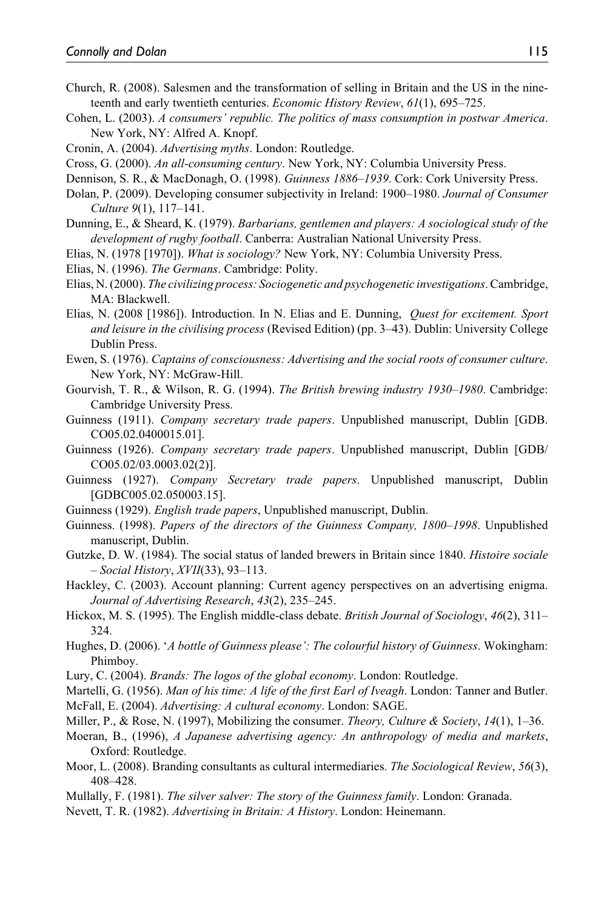- Church, R. (2008). Salesmen and the transformation of selling in Britain and the US in the nineteenth and early twentieth centuries. *Economic History Review*, *61*(1), 695–725.
- Cohen, L. (2003). *A consumers' republic. The politics of mass consumption in postwar America*. New York, NY: Alfred A. Knopf.
- Cronin, A. (2004). *Advertising myths*. London: Routledge.
- Cross, G. (2000). *An all-consuming century*. New York, NY: Columbia University Press.
- Dennison, S. R., & MacDonagh, O. (1998). *Guinness 1886–1939*. Cork: Cork University Press.
- Dolan, P. (2009). Developing consumer subjectivity in Ireland: 1900–1980. *Journal of Consumer Culture 9*(1), 117–141.
- Dunning, E., & Sheard, K. (1979). *Barbarians, gentlemen and players: A sociological study of the development of rugby football*. Canberra: Australian National University Press.
- Elias, N. (1978 [1970]). *What is sociology?* New York, NY: Columbia University Press.
- Elias, N. (1996). *The Germans*. Cambridge: Polity.
- Elias, N. (2000). *The civilizing process: Sociogenetic and psychogenetic investigations*. Cambridge, MA: Blackwell.
- Elias, N. (2008 [1986]). Introduction. In N. Elias and E. Dunning, *Quest for excitement. Sport and leisure in the civilising process* (Revised Edition) (pp. 3–43). Dublin: University College Dublin Press.
- Ewen, S. (1976). *Captains of consciousness: Advertising and the social roots of consumer culture*. New York, NY: McGraw-Hill.
- Gourvish, T. R., & Wilson, R. G. (1994). *The British brewing industry 1930–1980*. Cambridge: Cambridge University Press.
- Guinness (1911). *Company secretary trade papers*. Unpublished manuscript, Dublin [GDB. CO05.02.0400015.01].
- Guinness (1926). *Company secretary trade papers*. Unpublished manuscript, Dublin [GDB/ CO05.02/03.0003.02(2)].
- Guinness (1927). *Company Secretary trade papers*. Unpublished manuscript, Dublin [GDBC005.02.050003.15].
- Guinness (1929). *English trade papers*, Unpublished manuscript, Dublin.
- Guinness. (1998). *Papers of the directors of the Guinness Company, 1800–1998*. Unpublished manuscript, Dublin.
- Gutzke, D. W. (1984). The social status of landed brewers in Britain since 1840. *Histoire sociale – Social History*, *XVII*(33), 93–113.
- Hackley, C. (2003). Account planning: Current agency perspectives on an advertising enigma. *Journal of Advertising Research*, *43*(2), 235–245.
- Hickox, M. S. (1995). The English middle-class debate. *British Journal of Sociology*, *46*(2), 311– 324.
- Hughes, D. (2006). '*A bottle of Guinness please': The colourful history of Guinness*. Wokingham: Phimboy.
- Lury, C. (2004). *Brands: The logos of the global economy*. London: Routledge.
- Martelli, G. (1956). *Man of his time: A life of the first Earl of Iveagh*. London: Tanner and Butler.
- McFall, E. (2004). *Advertising: A cultural economy*. London: SAGE.
- Miller, P., & Rose, N. (1997), Mobilizing the consumer. *Theory, Culture & Society*, *14*(1), 1–36.
- Moeran, B., (1996), *A Japanese advertising agency: An anthropology of media and markets*, Oxford: Routledge.
- Moor, L. (2008). Branding consultants as cultural intermediaries. *The Sociological Review*, *56*(3), 408–428.
- Mullally, F. (1981). *The silver salver: The story of the Guinness family*. London: Granada.
- Nevett, T. R. (1982). *Advertising in Britain: A History*. London: Heinemann.